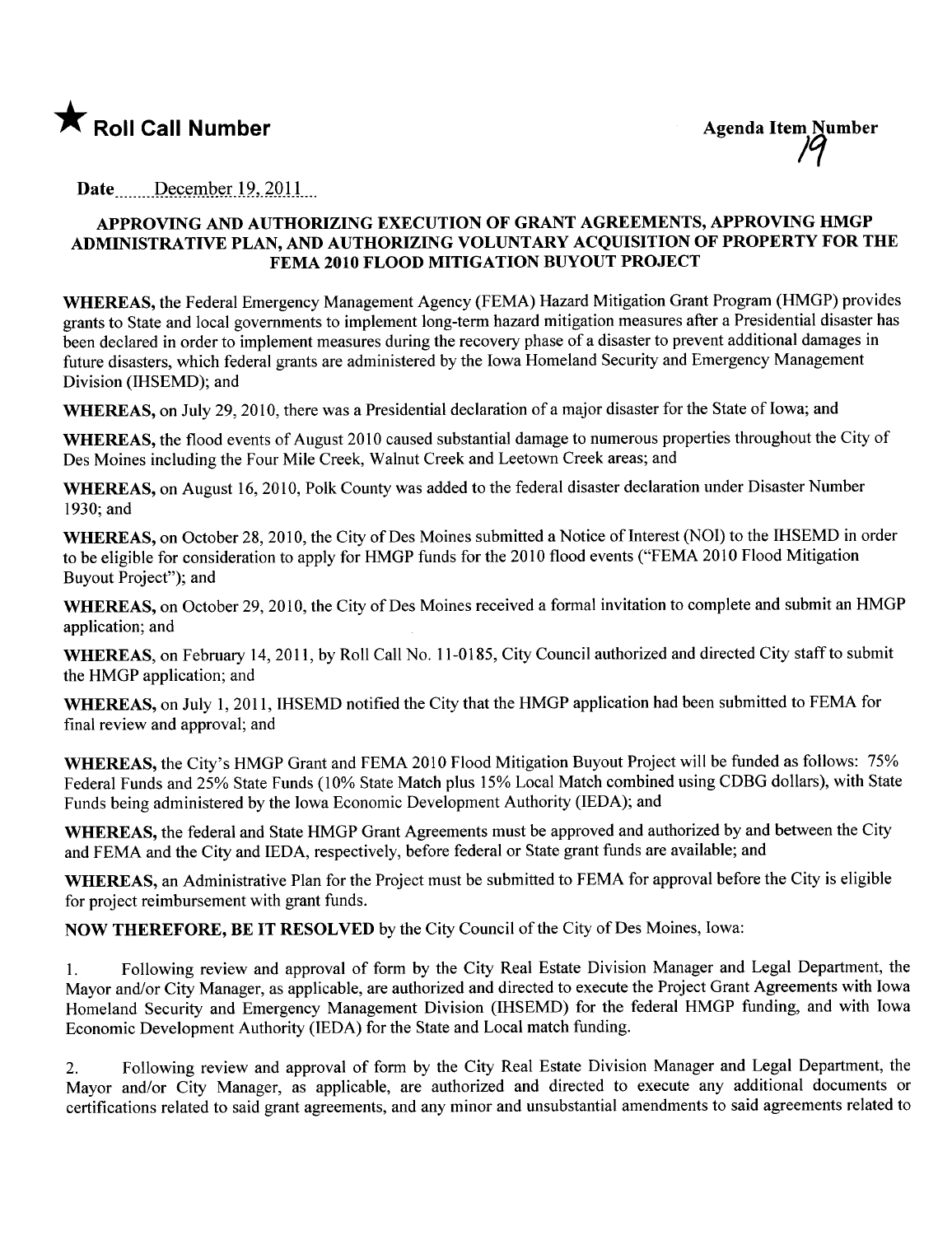

Date  $\qquad$  December 19, 2011

## APPROVING AND AUTHORIZING EXECUTION OF GRANT AGREEMENTS, APPROVING HMGP ADMINISTRATIVE PLAN, AND AUTHORIZING VOLUNTARY ACQUISITION OF PROPERTY FOR THE FEMA 2010 FLOOD MITIGATION BUYOUT PROJECT

WHEREAS, the Federal Emergency Management Agency (FEMA) Hazard Mitigation Grant Program (HMGP) provides grants to State and local governments to implement long-term hazard mitigation measures after a Presidential disaster has been declared in order to implement measures during the recovery phase of a disaster to prevent additional damages in future disasters, which federal grants are administered by the Iowa Homeland Security and Emergency Management Division (lHSEMD); and

WHEREAS, on July 29, 2010, there was a Presidential declaration of a major disaster for the State of Iowa; and

WHEREAS, the flood events of August 2010 caused substantial damage to numerous properties throughout the City of Des Moines including the Four Mile Creek, Walnut Creek and Leetown Creek areas; and

WHEREAS, on August 16, 2010, Polk County was added to the federal disaster declaration under Disaster Number 1930; and

WHEREAS, on October 28, 2010, the City of Des Moines submitted a Notice of Interest (NOI) to the IHSEMD in order to be eligible for consideration to apply for HMGP funds for the 2010 flood events ("FEMA 2010 Flood Mitigation Buyout Project"); and

WHEREAS, on October 29, 2010, the City of Des Moines received a formal invitation to complete and submit an HMGP application; and

WHEREAS, on February 14, 2011, by Roll Call No. 11-0185, City Council authorized and directed City staff to submit the HMGP application; and

WHEREAS, on July 1, 2011, IHSEMD notified the City that the HMGP application had been submitted to FEMA for final review and approval; and

WHEREAS, the City's HMGP Grant and FEMA 2010 Flood Mitigation Buyout Project will be funded as follows: 75% Federal Funds and 25% State Funds (10% State Match plus 15% Local Match combined using CDBG dollars), with State Funds being administered by the Iowa Economic Development Authority (IEDA); and

WHEREAS, the federal and State HMGP Grant Agreements must be approved and authorized by and between the City and FEMA and the City and IEDA, respectively, before federal or State grant funds are available; and

WHEREAS, an Administrative Plan for the Project must be submitted to FEMA for approval before the City is eligible for project reimbursement with grant funds.

NOW THEREFORE, BE IT RESOLVED by the City Council of the City of Des Moines, Iowa:

1. Following review and approval of form by the City Real Estate Division Manager and Legal Department, the Mayor and/or City Manager, as applicable, are authorized and directed to execute the Project Grant Agreements with Iowa Homeland Security and Emergency Management Division (IHSEMD) for the federal HMGP funding, and with Iowa Economic Development Authority (IEDA) for the State and Local match funding.

2. Following review and approval of form by the City Real Estate Division Manager and Legal Department, the Mayor and/or City Manager, as applicable, are authorized and directed to execute any additional documents or certifications related to said grant agreements, and any minor and unsubstantial amendments to said agreements related to